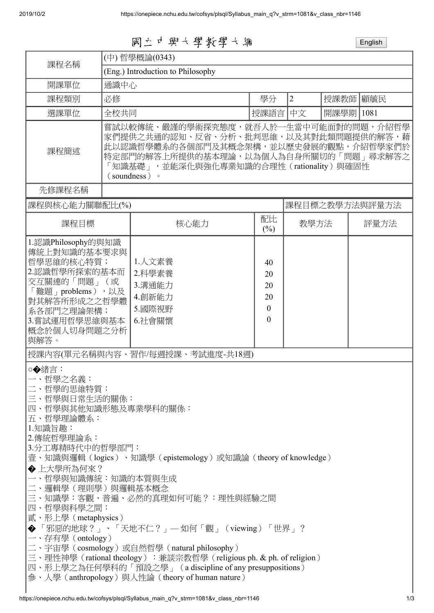國立中興大學教學大綱 English

| (中)哲學概論(0343)                                                                                                                                                                                                                              |                                                          |                                                                                                                                                                                                               |                                                                   |                                                                                                              |                                                                                                                                     |  |
|--------------------------------------------------------------------------------------------------------------------------------------------------------------------------------------------------------------------------------------------|----------------------------------------------------------|---------------------------------------------------------------------------------------------------------------------------------------------------------------------------------------------------------------|-------------------------------------------------------------------|--------------------------------------------------------------------------------------------------------------|-------------------------------------------------------------------------------------------------------------------------------------|--|
| (Eng.) Introduction to Philosophy                                                                                                                                                                                                          |                                                          |                                                                                                                                                                                                               |                                                                   |                                                                                                              |                                                                                                                                     |  |
| 通識中心                                                                                                                                                                                                                                       |                                                          |                                                                                                                                                                                                               |                                                                   |                                                                                                              |                                                                                                                                     |  |
| 必修                                                                                                                                                                                                                                         |                                                          | 學分                                                                                                                                                                                                            | $\overline{2}$                                                    | 授課教師 <br>顧毓民                                                                                                 |                                                                                                                                     |  |
|                                                                                                                                                                                                                                            |                                                          |                                                                                                                                                                                                               | 中文                                                                | 開課學期 1081                                                                                                    |                                                                                                                                     |  |
| 嘗試以較傳統、嚴謹的學術探究態度,就吾人於一生當中可能面對的問題,介紹哲學<br>家們提供之共通的認知、反省、分析、批判思維,以及其對此類問題提供的解答,藉<br>此以認識哲學體系的各個部門及其概念架構,並以歷史發展的觀點,介紹哲學家們於<br>課程簡述<br>特定部門的解答上所提供的基本理論,以為個人為自身所關切的「問題」尋求解答之<br>知識基礎」,並能深化與強化專業知識的合理性 (rationality) 與確固性<br>(soundness) •      |                                                          |                                                                                                                                                                                                               |                                                                   |                                                                                                              |                                                                                                                                     |  |
| 先修課程名稱                                                                                                                                                                                                                                     |                                                          |                                                                                                                                                                                                               |                                                                   |                                                                                                              |                                                                                                                                     |  |
| 課程與核心能力關聯配比(%)                                                                                                                                                                                                                             |                                                          |                                                                                                                                                                                                               | 課程目標之教學方法與評量方法                                                    |                                                                                                              |                                                                                                                                     |  |
|                                                                                                                                                                                                                                            | 核心能力                                                     | 配比<br>$(\%)$                                                                                                                                                                                                  | 教學方法<br>評量方法                                                      |                                                                                                              |                                                                                                                                     |  |
| 1.認識Philosophy的與知識<br>傳統上對知識的基本要求與<br>哲學思維的核心特質;<br>2.認識哲學所探索的基本而<br>交互關連的「問題」(或<br>「難題」problems),以及<br>對其解答所形成之之哲學體<br>系各部門之理論架構;<br>3.嘗試運用哲學思維與基本<br>概念於個人切身問題之分析<br>二、哲學的思維特質:<br>四、哲學與科學之間:<br>貳、形上學 (metaphysics)<br>一、存有學 (ontology) | 1.人文素養<br>2.科學素養<br>3.溝通能力<br>4.創新能力<br>5.國際視野<br>6.社會關懷 | 40<br>20<br>20<br>20<br>$\mathbf{0}$<br>$\Omega$                                                                                                                                                              |                                                                   |                                                                                                              |                                                                                                                                     |  |
|                                                                                                                                                                                                                                            |                                                          | 全校共同<br>三、哲學與日常生活的關係:<br>四、哲學與其他知識形態及專業學科的關係:<br>3.分工專精時代中的哲學部門:<br>一、哲學與知識傳統:知識的本質與生成<br>二、邏輯學(理則學)與邏輯基本概念<br>二、宇宙學(cosmology)或自然哲學(natural philosophy)<br>參、人學 (anthropology) 與人性論 (theory of human nature) | 授課内容(單元名稱與內容、習作/每週授課、考試進度-共18週)<br>三、知識學:客觀、普遍、必然的真理如何可能?:理性與經驗之間 | 授課語言 <br>◆ 「邪惡的地球?」、「天地不仁?」— 如何「觀」(viewing)「世界」?<br>四、形上學之為任何學科的「預設之學」 (a discipline of any presuppositions) | 壹、知識與邏輯(logics)、知識學(epistemology)或知識論(theory of knowledge)<br>三、理性神學 (rational theology) : 兼談宗教哲學 (religious ph. & ph. of religion) |  |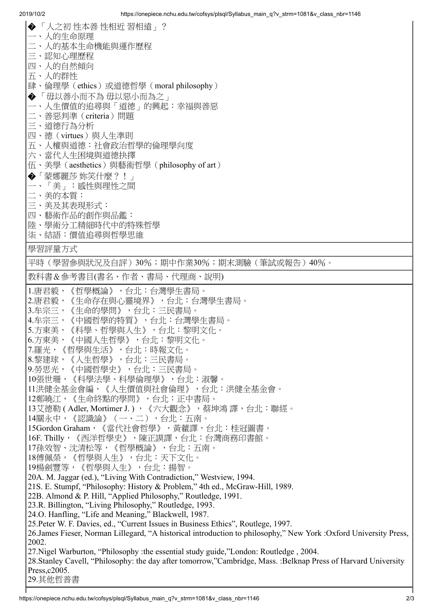| ◆「人之初性本善性相近習相遠」?                                                                                                                          |
|-------------------------------------------------------------------------------------------------------------------------------------------|
| 一、人的生命原理                                                                                                                                  |
| 二、人的基本生命機能與運作歷程                                                                                                                           |
| 三、認知心理歷程                                                                                                                                  |
| 四、人的自然傾向                                                                                                                                  |
| 五、人的群性                                                                                                                                    |
| 肆、倫理學 (ethics) 或道德哲學 (moral philosophy)                                                                                                   |
| ◆ 「毋以善小而不為 毋以惡小而為之」                                                                                                                       |
| 一、人生價值的追尋與「道德」的興起:幸福與善惡                                                                                                                   |
| 二、善惡判準 (criteria) 問題                                                                                                                      |
| 三、道德行為分析                                                                                                                                  |
| 四、德(virtues)與人生準則                                                                                                                         |
| 五、人權與道德:社會政治哲學的倫理學向度                                                                                                                      |
| 六、當代人生困境與道德抉擇                                                                                                                             |
| 伍、美學 (aesthetics) 與藝術哲學 (philosophy of art)                                                                                               |
| ◆「蒙娜麗莎 妳笑什麼?!」                                                                                                                            |
| 一、「美」:感性與理性之間                                                                                                                             |
| 二、美的本質:                                                                                                                                   |
| 三、美及其表現形式:                                                                                                                                |
| 四、藝術作品的創作與品鑑:                                                                                                                             |
| 陸、學術分工精細時代中的特殊哲學                                                                                                                          |
| 柒、結語:價值追尋與哲學思維                                                                                                                            |
| 學習評量方式                                                                                                                                    |
| 平時(學習參與狀況及自評)30%;期中作業30%;期末測驗(筆試或報告)40%。                                                                                                  |
|                                                                                                                                           |
| 教科書&參考書目(書名、作者、書局、代理商、說明)                                                                                                                 |
| 1.唐君毅,《哲學概論》,台北:台灣學生書局。                                                                                                                   |
| 2.唐君毅,《生命存在與心靈境界》,台北:台灣學生書局。                                                                                                              |
| 3.牟宗三,《生命的學問》,台北:三民書局。                                                                                                                    |
| 4.牟宗三,《中國哲學的特質》,台北:台灣學生書局。                                                                                                                |
| 5.方東美,《科學、哲學與人生》,台北:黎明文化。                                                                                                                 |
| 6.方東美,《中國人生哲學》,台北:黎明文化。                                                                                                                   |
| 7.羅光,《哲學與生活》,台北:時報文化。                                                                                                                     |
| 8.黎建球,《人生哲學》,台北:三民書局。                                                                                                                     |
| 9.勞思光,《中國哲學史》,台北:三民書局。                                                                                                                    |
| 10張世珊,《科學法學、科學倫理學》,台北:淑馨。                                                                                                                 |
| 11洪健全基金會編,《人生價值與社會倫理》,台北:洪健全基金會。                                                                                                          |
| 12鄭曉江,《生命終點的學問》,台北:正中書局。                                                                                                                  |
| 13艾德勒 (Adler, Mortimer J.), 《六大觀念》, 蔡坤鴻 譯, 台北:聯經。                                                                                         |
| 14關永中,《認識論》(一、二),台北:五南。                                                                                                                   |
| 15Gordon Graham, 《當代社會哲學》, 黃藿譯, 台北: 桂冠圖書。                                                                                                 |
| 16F. Thilly,《西洋哲學史》,陳正謨譯,台北:台灣商務印書館。                                                                                                      |
| 17孫效智、沈清松等,《哲學概論》,台北:五南。                                                                                                                  |
| 18傅佩榮,《哲學與人生》,台北:天下文化。                                                                                                                    |
| 19楊劍豐等,《哲學與人生》,台北:揚智。                                                                                                                     |
| 20A. M. Jaggar (ed.), "Living With Contradiction," Westview, 1994.                                                                        |
| 21S. E. Stumpf, "Philosophy: History & Problem," 4th ed., McGraw-Hill, 1989.                                                              |
| 22B. Almond & P. Hill, "Applied Philosophy," Routledge, 1991.                                                                             |
| 23.R. Billington, "Living Philosophy," Routledge, 1993.                                                                                   |
| 24.O. Hanfling, "Life and Meaning," Blackwell, 1987.<br>25. Peter W. F. Davies, ed., "Current Issues in Business Ethics", Routlege, 1997. |
| 26. James Fieser, Norman Lillegard, "A historical introduction to philosophy," New York : Oxford University Press,                        |
| 2002.                                                                                                                                     |
| 27. Nigel Warburton, "Philosophy : the essential study guide,"London: Routledge, 2004.                                                    |
|                                                                                                                                           |
| 28. Stanley Cavell, "Philosophy: the day after tomorrow,"Cambridge, Mass. : Belknap Press of Harvard University                           |
| Press, c2005.<br>29.其他哲普書                                                                                                                 |